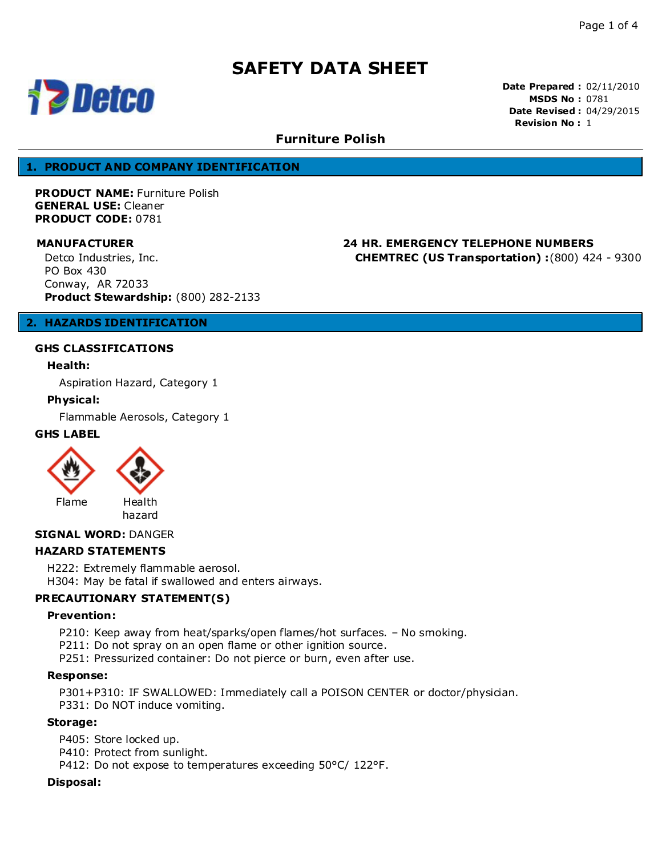

**Date Prepared :** 02/11/2010 **MSDS No :** 0781 **Date Revised :** 04/29/2015 **Revision No :** 1

# **Furniture Polish**

### **1. PRODUCT AND COMPANY IDENTIFICATION**

**PRODUCT NAME:** Furniture Polish **GENERAL USE:** Cleaner **PRODUCT CODE:** 0781

**MANUFACTURER 24 HR. EMERGENCY TELEPHONE NUMBERS CHEMTREC (US Transportation) :**(800) 424 - 9300

Detco Industries, Inc. PO Box 430 Conway, AR 72033 **Product Stewardship:** (800) 282-2133

# **2. HAZARDS IDENTIFICATION**

### **GHS CLASSIFICATIONS**

# **Health:**

Aspiration Hazard, Category 1

# **Physical:**

Flammable Aerosols, Category 1

# **GHS LABEL**



#### **SIGNAL WORD:** DANGER

### **HAZARD STATEMENTS**

H222: Extremely flammable aerosol.

H304: May be fatal if swallowed and enters airways.

# **PRECAUTIONARY STATEMENT(S)**

#### **Prevention:**

P210: Keep away from heat/sparks/open flames/hot surfaces. – No smoking.

P211: Do not spray on an open flame or other ignition source.

P251: Pressurized container: Do not pierce or burn, even after use.

#### **Response:**

P301+P310: IF SWALLOWED: Immediately call a POISON CENTER or doctor/physician. P331: Do NOT induce vomiting.

#### **Storage:**

P405: Store locked up.

P410: Protect from sunlight.

P412: Do not expose to temperatures exceeding 50°C/ 122°F.

#### **Disposal:**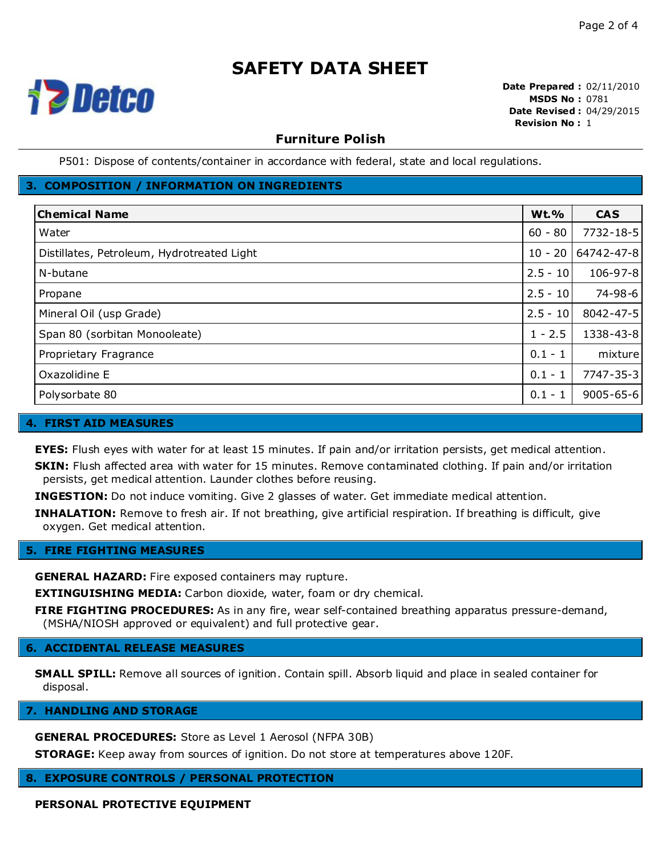

**Date Prepared :** 02/11/2010 **MSDS No :** 0781 **Date Revised :** 04/29/2015 **Revision No :** 1

# **Furniture Polish**

P501: Dispose of contents/container in accordance with federal, state and local regulations.

# **3. COMPOSITION / INFORMATION ON INGREDIENTS**

| <b>Chemical Name</b>                       | <b>Wt.%</b> | <b>CAS</b>      |
|--------------------------------------------|-------------|-----------------|
| Water                                      | $60 - 80$   | 7732-18-5       |
| Distillates, Petroleum, Hydrotreated Light | $10 - 20$   | 64742-47-8      |
| N-butane                                   | $2.5 - 10$  | 106-97-8        |
| Propane                                    | $2.5 - 10$  | 74-98-6         |
| Mineral Oil (usp Grade)                    | $2.5 - 10$  | 8042-47-5       |
| Span 80 (sorbitan Monooleate)              | $1 - 2.5$   | 1338-43-8       |
| Proprietary Fragrance                      | $0.1 - 1$   | mixture         |
| Oxazolidine E                              | $0.1 - 1$   | 7747-35-3       |
| Polysorbate 80                             | $0.1 - 1$   | $9005 - 65 - 6$ |

# **4. FIRST AID MEASURES**

**EYES:** Flush eyes with water for at least 15 minutes. If pain and/or irritation persists, get medical attention.

**SKIN:** Flush affected area with water for 15 minutes. Remove contaminated clothing. If pain and/or irritation persists, get medical attention. Launder clothes before reusing.

**INGESTION:** Do not induce vomiting. Give 2 glasses of water. Get immediate medical attention.

**INHALATION:** Remove to fresh air. If not breathing, give artificial respiration. If breathing is difficult, give oxygen. Get medical attention.

### **5. FIRE FIGHTING MEASURES**

**GENERAL HAZARD:** Fire exposed containers may rupture.

**EXTINGUISHING MEDIA:** Carbon dioxide, water, foam or dry chemical.

**FIRE FIGHTING PROCEDURES:** As in any fire, wear self-contained breathing apparatus pressure-demand, (MSHA/NIOSH approved or equivalent) and full protective gear.

### **6. ACCIDENTAL RELEASE MEASURES**

**SMALL SPILL:** Remove all sources of ignition. Contain spill. Absorb liquid and place in sealed container for disposal.

**7. HANDLING AND STORAGE**

**GENERAL PROCEDURES:** Store as Level 1 Aerosol (NFPA 30B)

**STORAGE:** Keep away from sources of ignition. Do not store at temperatures above 120F.

**8. EXPOSURE CONTROLS / PERSONAL PROTECTION**

**PERSONAL PROTECTIVE EQUIPMENT**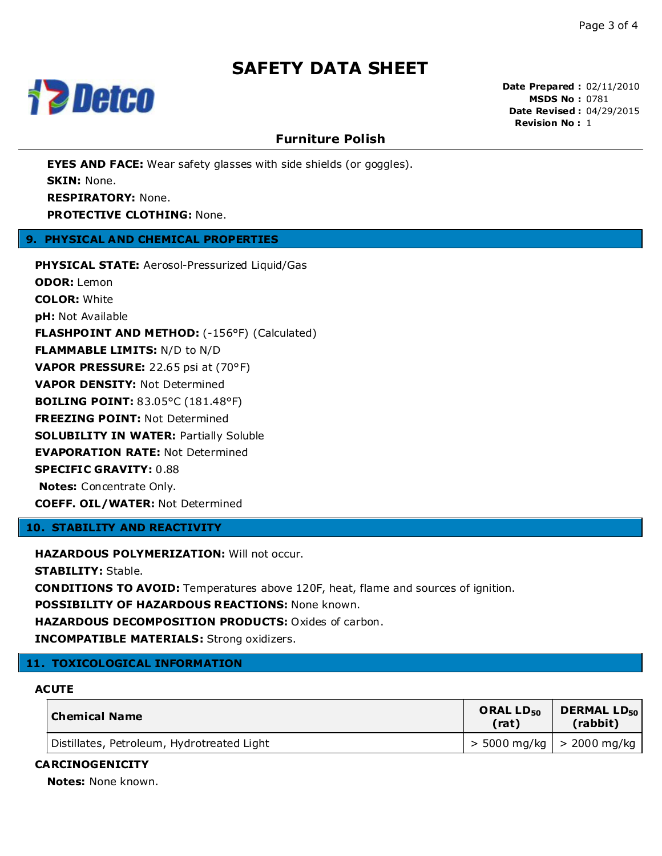

**Date Prepared :** 02/11/2010 **MSDS No :** 0781 **Date Revised :** 04/29/2015 **Revision No :** 1

# **Furniture Polish**

**EYES AND FACE:** Wear safety glasses with side shields (or goggles). **SKIN:** None. **RESPIRATORY:** None. **PROTECTIVE CLOTHING:** None.

# **9. PHYSICAL AND CHEMICAL PROPERTIES**

**PHYSICAL STATE:** Aerosol-Pressurized Liquid/Gas **ODOR:** Lemon **COLOR:** White **pH:** Not Available **FLASHPOINT AND METHOD:** (-156°F) (Calculated) **FLAMMABLE LIMITS:** N/D to N/D **VAPOR PRESSURE:** 22.65 psi at (70°F) **VAPOR DENSITY:** Not Determined **BOILING POINT:** 83.05°C (181.48°F) **FREEZING POINT:** Not Determined **SOLUBILITY IN WATER:** Partially Soluble **EVAPORATION RATE:** Not Determined **SPECIFIC GRAVITY:** 0.88 **Notes:** Concentrate Only. **COEFF. OIL/WATER:** Not Determined

# **10. STABILITY AND REACTIVITY**

**HAZARDOUS POLYMERIZATION:** Will not occur.

**STABILITY:** Stable.

**CONDITIONS TO AVOID:** Temperatures above 120F, heat, flame and sources of ignition.

**POSSIBILITY OF HAZARDOUS REACTIONS:** None known.

**HAZARDOUS DECOMPOSITION PRODUCTS:** Oxides of carbon.

**INCOMPATIBLE MATERIALS:** Strong oxidizers.

# **11. TOXICOLOGICAL INFORMATION**

# **ACUTE**

| Chemical Name                              | ORAL LD <sub>50</sub><br>(rat) | <b>DERMAL LD</b> <sub>50</sub><br>(rabbit) |
|--------------------------------------------|--------------------------------|--------------------------------------------|
| Distillates, Petroleum, Hydrotreated Light |                                | > 5000 mg/kg   > 2000 mg/kg                |

#### **CARCINOGENICITY**

**Notes:** None known.